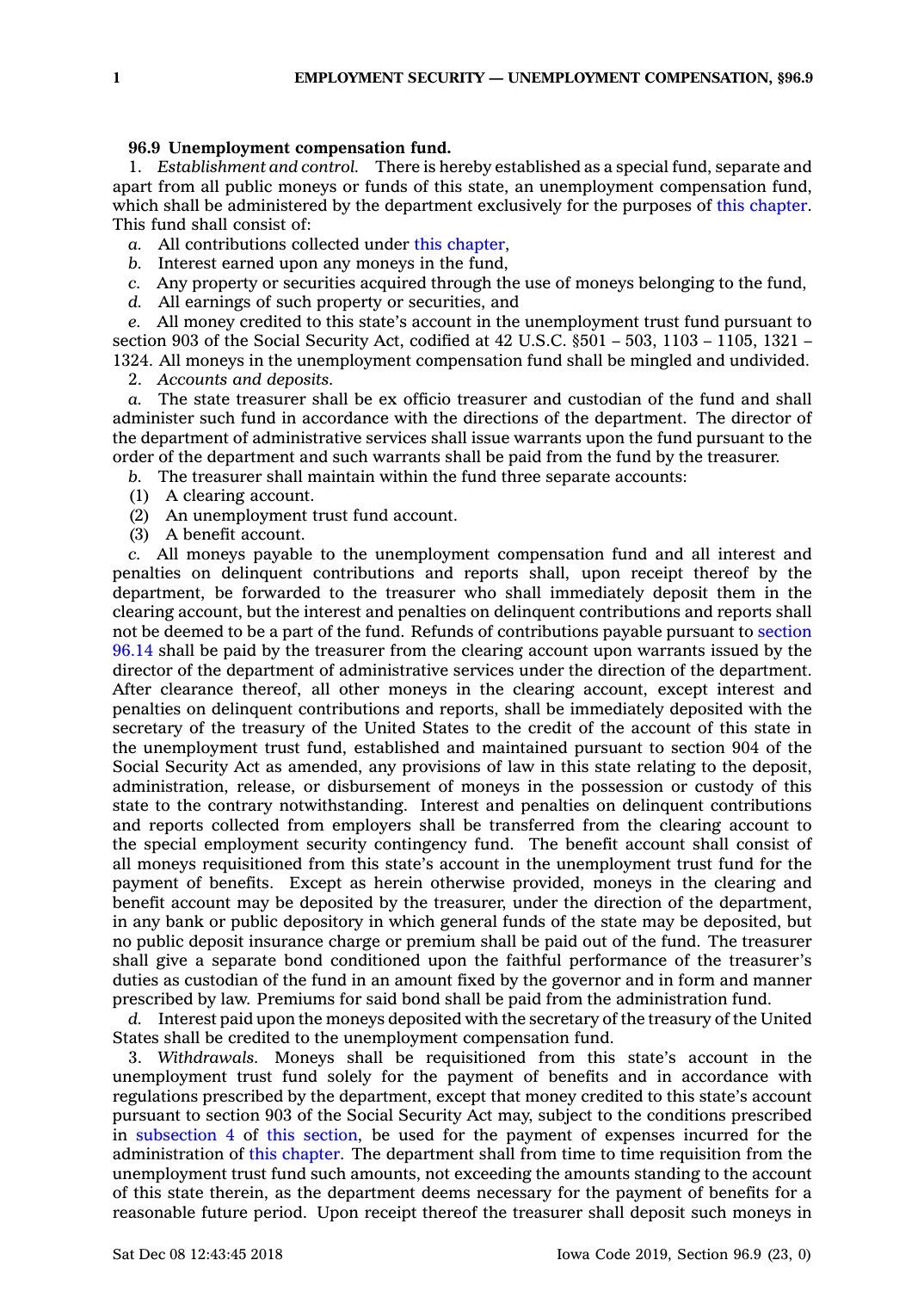## **96.9 Unemployment compensation fund.**

1. *Establishment and control.* There is hereby established as <sup>a</sup> special fund, separate and apart from all public moneys or funds of this state, an unemployment compensation fund, which shall be administered by the department exclusively for the purposes of this [chapter](https://www.legis.iowa.gov/docs/code//96.pdf). This fund shall consist of:

*a.* All contributions collected under this [chapter](https://www.legis.iowa.gov/docs/code//96.pdf),

- *b.* Interest earned upon any moneys in the fund,
- *c.* Any property or securities acquired through the use of moneys belonging to the fund,
- *d.* All earnings of such property or securities, and

*e.* All money credited to this state's account in the unemployment trust fund pursuant to section 903 of the Social Security Act, codified at 42 U.S.C. §501 – 503, 1103 – 1105, 1321 – 1324. All moneys in the unemployment compensation fund shall be mingled and undivided.

2. *Accounts and deposits.*

*a.* The state treasurer shall be ex officio treasurer and custodian of the fund and shall administer such fund in accordance with the directions of the department. The director of the department of administrative services shall issue warrants upon the fund pursuant to the order of the department and such warrants shall be paid from the fund by the treasurer.

*b.* The treasurer shall maintain within the fund three separate accounts:

- (1) A clearing account.
- (2) An unemployment trust fund account.
- (3) A benefit account.

*c.* All moneys payable to the unemployment compensation fund and all interest and penalties on delinquent contributions and reports shall, upon receipt thereof by the department, be forwarded to the treasurer who shall immediately deposit them in the clearing account, but the interest and penalties on delinquent contributions and reports shall not be deemed to be <sup>a</sup> part of the fund. Refunds of contributions payable pursuant to [section](https://www.legis.iowa.gov/docs/code/96.14.pdf) [96.14](https://www.legis.iowa.gov/docs/code/96.14.pdf) shall be paid by the treasurer from the clearing account upon warrants issued by the director of the department of administrative services under the direction of the department. After clearance thereof, all other moneys in the clearing account, except interest and penalties on delinquent contributions and reports, shall be immediately deposited with the secretary of the treasury of the United States to the credit of the account of this state in the unemployment trust fund, established and maintained pursuant to section 904 of the Social Security Act as amended, any provisions of law in this state relating to the deposit, administration, release, or disbursement of moneys in the possession or custody of this state to the contrary notwithstanding. Interest and penalties on delinquent contributions and reports collected from employers shall be transferred from the clearing account to the special employment security contingency fund. The benefit account shall consist of all moneys requisitioned from this state's account in the unemployment trust fund for the payment of benefits. Except as herein otherwise provided, moneys in the clearing and benefit account may be deposited by the treasurer, under the direction of the department, in any bank or public depository in which general funds of the state may be deposited, but no public deposit insurance charge or premium shall be paid out of the fund. The treasurer shall give <sup>a</sup> separate bond conditioned upon the faithful performance of the treasurer's duties as custodian of the fund in an amount fixed by the governor and in form and manner prescribed by law. Premiums for said bond shall be paid from the administration fund.

*d.* Interest paid upon the moneys deposited with the secretary of the treasury of the United States shall be credited to the unemployment compensation fund.

3. *Withdrawals.* Moneys shall be requisitioned from this state's account in the unemployment trust fund solely for the payment of benefits and in accordance with regulations prescribed by the department, except that money credited to this state's account pursuant to section 903 of the Social Security Act may, subject to the conditions prescribed in [subsection](https://www.legis.iowa.gov/docs/code/96.9.pdf) 4 of this [section](https://www.legis.iowa.gov/docs/code/96.9.pdf), be used for the payment of expenses incurred for the administration of this [chapter](https://www.legis.iowa.gov/docs/code//96.pdf). The department shall from time to time requisition from the unemployment trust fund such amounts, not exceeding the amounts standing to the account of this state therein, as the department deems necessary for the payment of benefits for <sup>a</sup> reasonable future period. Upon receipt thereof the treasurer shall deposit such moneys in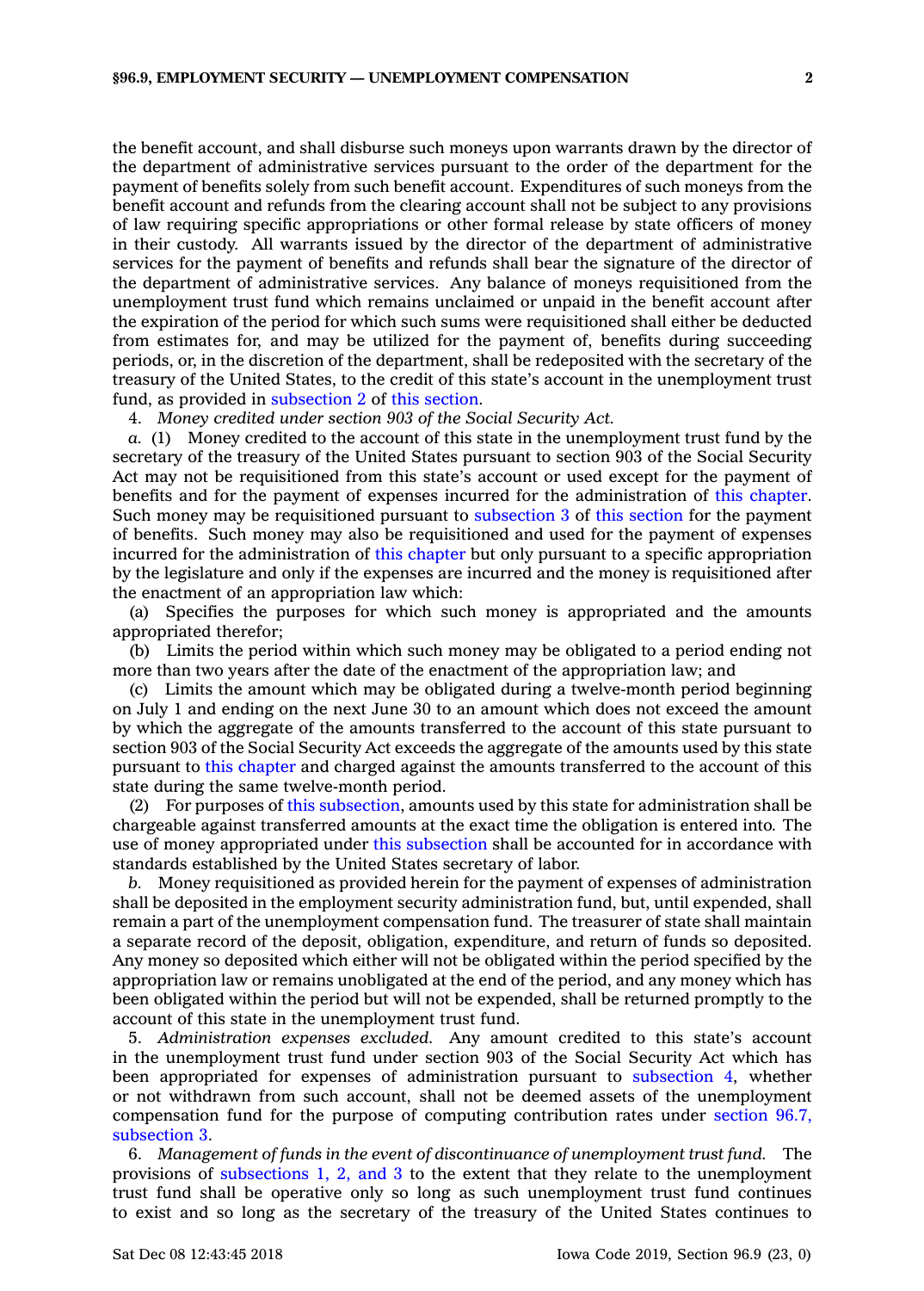the benefit account, and shall disburse such moneys upon warrants drawn by the director of the department of administrative services pursuant to the order of the department for the payment of benefits solely from such benefit account. Expenditures of such moneys from the benefit account and refunds from the clearing account shall not be subject to any provisions of law requiring specific appropriations or other formal release by state officers of money in their custody. All warrants issued by the director of the department of administrative services for the payment of benefits and refunds shall bear the signature of the director of the department of administrative services. Any balance of moneys requisitioned from the unemployment trust fund which remains unclaimed or unpaid in the benefit account after the expiration of the period for which such sums were requisitioned shall either be deducted from estimates for, and may be utilized for the payment of, benefits during succeeding periods, or, in the discretion of the department, shall be redeposited with the secretary of the treasury of the United States, to the credit of this state's account in the unemployment trust fund, as provided in [subsection](https://www.legis.iowa.gov/docs/code/96.9.pdf) 2 of this [section](https://www.legis.iowa.gov/docs/code/96.9.pdf).

4. *Money credited under section 903 of the Social Security Act.*

*a.* (1) Money credited to the account of this state in the unemployment trust fund by the secretary of the treasury of the United States pursuant to section 903 of the Social Security Act may not be requisitioned from this state's account or used except for the payment of benefits and for the payment of expenses incurred for the administration of this [chapter](https://www.legis.iowa.gov/docs/code//96.pdf). Such money may be requisitioned pursuant to [subsection](https://www.legis.iowa.gov/docs/code/96.9.pdf) 3 of this [section](https://www.legis.iowa.gov/docs/code/96.9.pdf) for the payment of benefits. Such money may also be requisitioned and used for the payment of expenses incurred for the administration of this [chapter](https://www.legis.iowa.gov/docs/code//96.pdf) but only pursuant to a specific appropriation by the legislature and only if the expenses are incurred and the money is requisitioned after the enactment of an appropriation law which:

(a) Specifies the purposes for which such money is appropriated and the amounts appropriated therefor;

(b) Limits the period within which such money may be obligated to <sup>a</sup> period ending not more than two years after the date of the enactment of the appropriation law; and

(c) Limits the amount which may be obligated during <sup>a</sup> twelve-month period beginning on July 1 and ending on the next June 30 to an amount which does not exceed the amount by which the aggregate of the amounts transferred to the account of this state pursuant to section 903 of the Social Security Act exceeds the aggregate of the amounts used by this state pursuant to this [chapter](https://www.legis.iowa.gov/docs/code//96.pdf) and charged against the amounts transferred to the account of this state during the same twelve-month period.

(2) For purposes of this [subsection](https://www.legis.iowa.gov/docs/code/96.9.pdf), amounts used by this state for administration shall be chargeable against transferred amounts at the exact time the obligation is entered into. The use of money appropriated under this [subsection](https://www.legis.iowa.gov/docs/code/96.9.pdf) shall be accounted for in accordance with standards established by the United States secretary of labor.

*b.* Money requisitioned as provided herein for the payment of expenses of administration shall be deposited in the employment security administration fund, but, until expended, shall remain <sup>a</sup> part of the unemployment compensation fund. The treasurer of state shall maintain <sup>a</sup> separate record of the deposit, obligation, expenditure, and return of funds so deposited. Any money so deposited which either will not be obligated within the period specified by the appropriation law or remains unobligated at the end of the period, and any money which has been obligated within the period but will not be expended, shall be returned promptly to the account of this state in the unemployment trust fund.

5. *Administration expenses excluded.* Any amount credited to this state's account in the unemployment trust fund under section 903 of the Social Security Act which has been appropriated for expenses of administration pursuant to [subsection](https://www.legis.iowa.gov/docs/code/96.9.pdf) 4, whether or not withdrawn from such account, shall not be deemed assets of the unemployment compensation fund for the purpose of computing contribution rates under [section](https://www.legis.iowa.gov/docs/code/96.7.pdf) 96.7, [subsection](https://www.legis.iowa.gov/docs/code/96.7.pdf) 3.

6. *Management of funds in the event of discontinuance of unemployment trust fund.* The provisions of [subsections](https://www.legis.iowa.gov/docs/code/96.9.pdf) 1, 2, and 3 to the extent that they relate to the unemployment trust fund shall be operative only so long as such unemployment trust fund continues to exist and so long as the secretary of the treasury of the United States continues to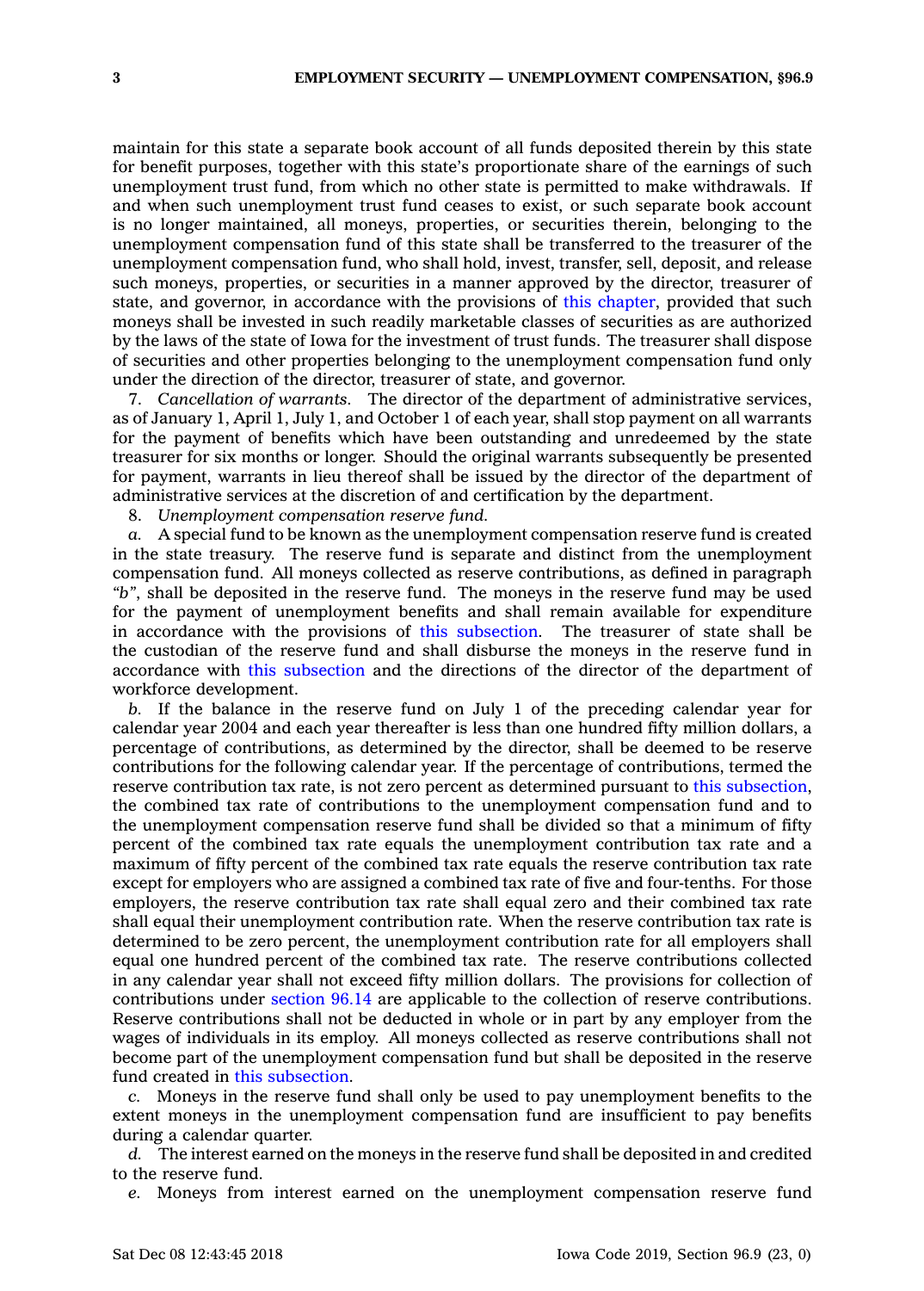maintain for this state <sup>a</sup> separate book account of all funds deposited therein by this state for benefit purposes, together with this state's proportionate share of the earnings of such unemployment trust fund, from which no other state is permitted to make withdrawals. If and when such unemployment trust fund ceases to exist, or such separate book account is no longer maintained, all moneys, properties, or securities therein, belonging to the unemployment compensation fund of this state shall be transferred to the treasurer of the unemployment compensation fund, who shall hold, invest, transfer, sell, deposit, and release such moneys, properties, or securities in <sup>a</sup> manner approved by the director, treasurer of state, and governor, in accordance with the provisions of this [chapter](https://www.legis.iowa.gov/docs/code//96.pdf), provided that such moneys shall be invested in such readily marketable classes of securities as are authorized by the laws of the state of Iowa for the investment of trust funds. The treasurer shall dispose of securities and other properties belonging to the unemployment compensation fund only under the direction of the director, treasurer of state, and governor.

7. *Cancellation of warrants.* The director of the department of administrative services, as of January 1, April 1, July 1, and October 1 of each year, shall stop payment on all warrants for the payment of benefits which have been outstanding and unredeemed by the state treasurer for six months or longer. Should the original warrants subsequently be presented for payment, warrants in lieu thereof shall be issued by the director of the department of administrative services at the discretion of and certification by the department.

8. *Unemployment compensation reserve fund.*

*a.* A special fund to be known as the unemployment compensation reserve fund is created in the state treasury. The reserve fund is separate and distinct from the unemployment compensation fund. All moneys collected as reserve contributions, as defined in paragraph *"b"*, shall be deposited in the reserve fund. The moneys in the reserve fund may be used for the payment of unemployment benefits and shall remain available for expenditure in accordance with the provisions of this [subsection](https://www.legis.iowa.gov/docs/code/96.9.pdf). The treasurer of state shall be the custodian of the reserve fund and shall disburse the moneys in the reserve fund in accordance with this [subsection](https://www.legis.iowa.gov/docs/code/96.9.pdf) and the directions of the director of the department of workforce development.

*b.* If the balance in the reserve fund on July 1 of the preceding calendar year for calendar year 2004 and each year thereafter is less than one hundred fifty million dollars, <sup>a</sup> percentage of contributions, as determined by the director, shall be deemed to be reserve contributions for the following calendar year. If the percentage of contributions, termed the reserve contribution tax rate, is not zero percent as determined pursuant to this [subsection](https://www.legis.iowa.gov/docs/code/96.9.pdf), the combined tax rate of contributions to the unemployment compensation fund and to the unemployment compensation reserve fund shall be divided so that <sup>a</sup> minimum of fifty percent of the combined tax rate equals the unemployment contribution tax rate and <sup>a</sup> maximum of fifty percent of the combined tax rate equals the reserve contribution tax rate except for employers who are assigned <sup>a</sup> combined tax rate of five and four-tenths. For those employers, the reserve contribution tax rate shall equal zero and their combined tax rate shall equal their unemployment contribution rate. When the reserve contribution tax rate is determined to be zero percent, the unemployment contribution rate for all employers shall equal one hundred percent of the combined tax rate. The reserve contributions collected in any calendar year shall not exceed fifty million dollars. The provisions for collection of contributions under [section](https://www.legis.iowa.gov/docs/code/96.14.pdf) 96.14 are applicable to the collection of reserve contributions. Reserve contributions shall not be deducted in whole or in part by any employer from the wages of individuals in its employ. All moneys collected as reserve contributions shall not become part of the unemployment compensation fund but shall be deposited in the reserve fund created in this [subsection](https://www.legis.iowa.gov/docs/code/96.9.pdf).

*c.* Moneys in the reserve fund shall only be used to pay unemployment benefits to the extent moneys in the unemployment compensation fund are insufficient to pay benefits during <sup>a</sup> calendar quarter.

*d.* The interest earned on the moneys in the reserve fund shall be deposited in and credited to the reserve fund.

*e.* Moneys from interest earned on the unemployment compensation reserve fund